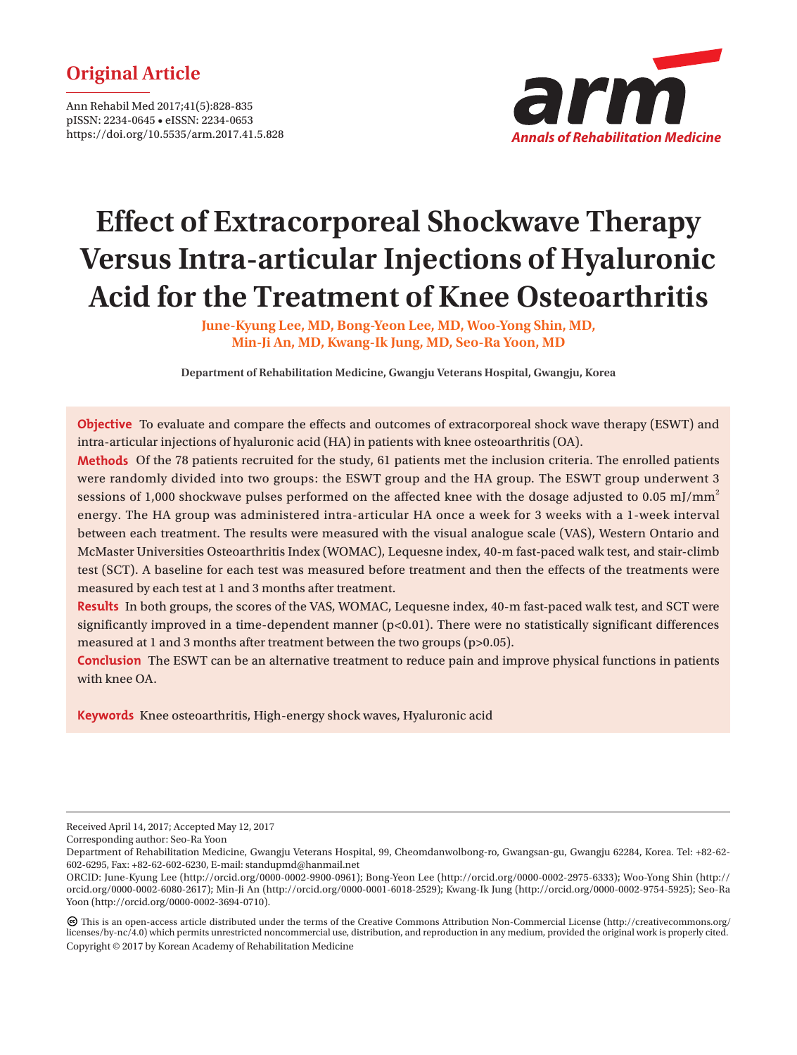# **Original Article**

Ann Rehabil Med 2017;41(5):828-835 pISSN: 2234-0645 • eISSN: 2234-0653 https://doi.org/10.5535/arm.2017.41.5.828



# **Effect of Extracorporeal Shockwave Therapy Versus Intra-articular Injections of Hyaluronic Acid for the Treatment of Knee Osteoarthritis**

**June-Kyung Lee, MD, Bong-Yeon Lee, MD, Woo-Yong Shin, MD, Min-Ji An, MD, Kwang-Ik Jung, MD, Seo-Ra Yoon, MD**

**Department of Rehabilitation Medicine, Gwangju Veterans Hospital, Gwangju, Korea**

**Objective** To evaluate and compare the effects and outcomes of extracorporeal shock wave therapy (ESWT) and intra-articular injections of hyaluronic acid (HA) in patients with knee osteoarthritis (OA).

**Methods** Of the 78 patients recruited for the study, 61 patients met the inclusion criteria. The enrolled patients were randomly divided into two groups: the ESWT group and the HA group. The ESWT group underwent 3 sessions of 1,000 shockwave pulses performed on the affected knee with the dosage adjusted to 0.05 mJ/mm<sup>2</sup> energy. The HA group was administered intra-articular HA once a week for 3 weeks with a 1-week interval between each treatment. The results were measured with the visual analogue scale (VAS), Western Ontario and McMaster Universities Osteoarthritis Index (WOMAC), Lequesne index, 40-m fast-paced walk test, and stair-climb test (SCT). A baseline for each test was measured before treatment and then the effects of the treatments were measured by each test at 1 and 3 months after treatment.

**Results** In both groups, the scores of the VAS, WOMAC, Lequesne index, 40-m fast-paced walk test, and SCT were significantly improved in a time-dependent manner  $(p<0.01)$ . There were no statistically significant differences measured at 1 and 3 months after treatment between the two groups (p>0.05).

**Conclusion** The ESWT can be an alternative treatment to reduce pain and improve physical functions in patients with knee OA.

**Keywords** Knee osteoarthritis, High-energy shock waves, Hyaluronic acid

Received April 14, 2017; Accepted May 12, 2017

Corresponding author: Seo-Ra Yoon

Department of Rehabilitation Medicine, Gwangju Veterans Hospital, 99, Cheomdanwolbong-ro, Gwangsan-gu, Gwangju 62284, Korea. Tel: +82-62- 602-6295, Fax: +82-62-602-6230, E-mail: standupmd@hanmail.net

ORCID: June-Kyung Lee (http://orcid.org/0000-0002-9900-0961); Bong-Yeon Lee (http://orcid.org/0000-0002-2975-6333); Woo-Yong Shin (http:// orcid.org/0000-0002-6080-2617); Min-Ji An (http://orcid.org/0000-0001-6018-2529); Kwang-Ik Jung (http://orcid.org/0000-0002-9754-5925); Seo-Ra Yoon (http://orcid.org/0000-0002-3694-0710).

This is an open-access article distributed under the terms of the Creative Commons Attribution Non-Commercial License (http://creativecommons.org/ licenses/by-nc/4.0) which permits unrestricted noncommercial use, distribution, and reproduction in any medium, provided the original work is properly cited. Copyright © 2017 by Korean Academy of Rehabilitation Medicine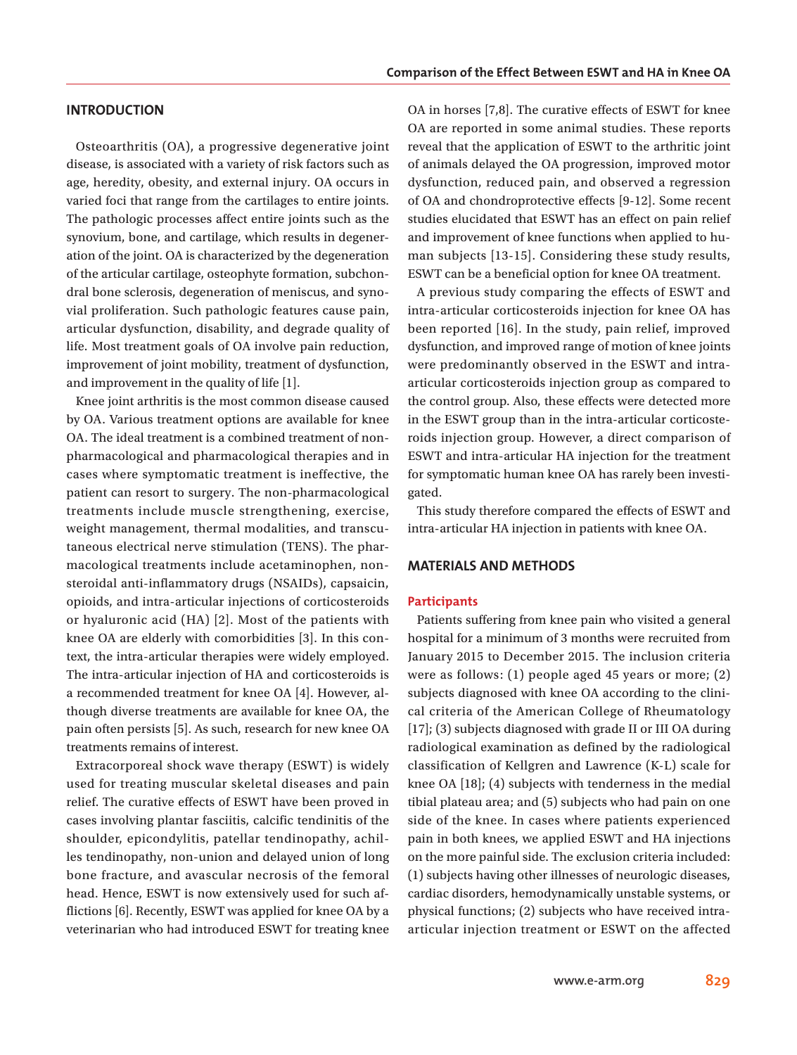# **INTRODUCTION**

Osteoarthritis (OA), a progressive degenerative joint disease, is associated with a variety of risk factors such as age, heredity, obesity, and external injury. OA occurs in varied foci that range from the cartilages to entire joints. The pathologic processes affect entire joints such as the synovium, bone, and cartilage, which results in degeneration of the joint. OA is characterized by the degeneration of the articular cartilage, osteophyte formation, subchondral bone sclerosis, degeneration of meniscus, and synovial proliferation. Such pathologic features cause pain, articular dysfunction, disability, and degrade quality of life. Most treatment goals of OA involve pain reduction, improvement of joint mobility, treatment of dysfunction, and improvement in the quality of life [1].

Knee joint arthritis is the most common disease caused by OA. Various treatment options are available for knee OA. The ideal treatment is a combined treatment of nonpharmacological and pharmacological therapies and in cases where symptomatic treatment is ineffective, the patient can resort to surgery. The non-pharmacological treatments include muscle strengthening, exercise, weight management, thermal modalities, and transcutaneous electrical nerve stimulation (TENS). The pharmacological treatments include acetaminophen, nonsteroidal anti-inflammatory drugs (NSAIDs), capsaicin, opioids, and intra-articular injections of corticosteroids or hyaluronic acid (HA) [2]. Most of the patients with knee OA are elderly with comorbidities [3]. In this context, the intra-articular therapies were widely employed. The intra-articular injection of HA and corticosteroids is a recommended treatment for knee OA [4]. However, although diverse treatments are available for knee OA, the pain often persists [5]. As such, research for new knee OA treatments remains of interest.

Extracorporeal shock wave therapy (ESWT) is widely used for treating muscular skeletal diseases and pain relief. The curative effects of ESWT have been proved in cases involving plantar fasciitis, calcific tendinitis of the shoulder, epicondylitis, patellar tendinopathy, achilles tendinopathy, non-union and delayed union of long bone fracture, and avascular necrosis of the femoral head. Hence, ESWT is now extensively used for such afflictions [6]. Recently, ESWT was applied for knee OA by a veterinarian who had introduced ESWT for treating knee OA in horses [7,8]. The curative effects of ESWT for knee OA are reported in some animal studies. These reports reveal that the application of ESWT to the arthritic joint of animals delayed the OA progression, improved motor dysfunction, reduced pain, and observed a regression of OA and chondroprotective effects [9-12]. Some recent studies elucidated that ESWT has an effect on pain relief and improvement of knee functions when applied to human subjects [13-15]. Considering these study results, ESWT can be a beneficial option for knee OA treatment.

A previous study comparing the effects of ESWT and intra-articular corticosteroids injection for knee OA has been reported [16]. In the study, pain relief, improved dysfunction, and improved range of motion of knee joints were predominantly observed in the ESWT and intraarticular corticosteroids injection group as compared to the control group. Also, these effects were detected more in the ESWT group than in the intra-articular corticosteroids injection group. However, a direct comparison of ESWT and intra-articular HA injection for the treatment for symptomatic human knee OA has rarely been investigated.

This study therefore compared the effects of ESWT and intra-articular HA injection in patients with knee OA.

# **MATERIALS AND METHODS**

# **Participants**

Patients suffering from knee pain who visited a general hospital for a minimum of 3 months were recruited from January 2015 to December 2015. The inclusion criteria were as follows: (1) people aged 45 years or more; (2) subjects diagnosed with knee OA according to the clinical criteria of the American College of Rheumatology [17]; (3) subjects diagnosed with grade II or III OA during radiological examination as defined by the radiological classification of Kellgren and Lawrence (K-L) scale for knee OA [18]; (4) subjects with tenderness in the medial tibial plateau area; and (5) subjects who had pain on one side of the knee. In cases where patients experienced pain in both knees, we applied ESWT and HA injections on the more painful side. The exclusion criteria included: (1) subjects having other illnesses of neurologic diseases, cardiac disorders, hemodynamically unstable systems, or physical functions; (2) subjects who have received intraarticular injection treatment or ESWT on the affected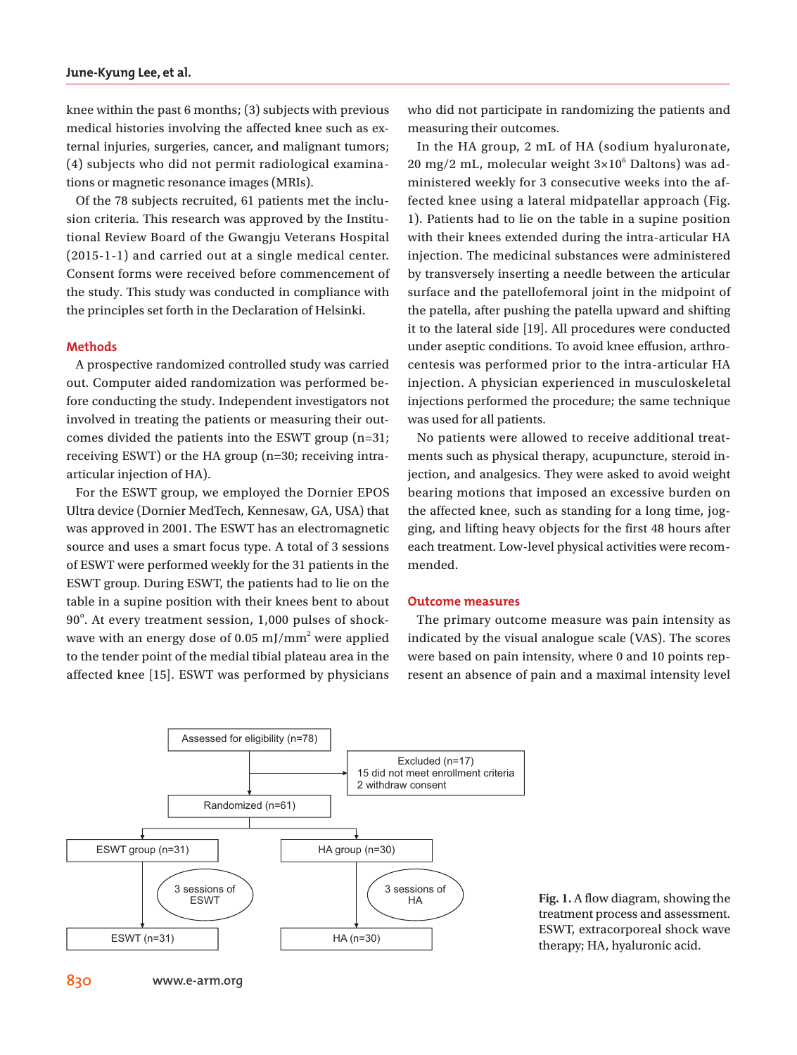knee within the past 6 months; (3) subjects with previous medical histories involving the affected knee such as external injuries, surgeries, cancer, and malignant tumors; (4) subjects who did not permit radiological examinations or magnetic resonance images (MRIs).

Of the 78 subjects recruited, 61 patients met the inclusion criteria. This research was approved by the Institutional Review Board of the Gwangju Veterans Hospital (2015-1-1) and carried out at a single medical center. Consent forms were received before commencement of the study. This study was conducted in compliance with the principles set forth in the Declaration of Helsinki.

#### **Methods**

A prospective randomized controlled study was carried out. Computer aided randomization was performed before conducting the study. Independent investigators not involved in treating the patients or measuring their outcomes divided the patients into the ESWT group (n=31; receiving ESWT) or the HA group (n=30; receiving intraarticular injection of HA).

For the ESWT group, we employed the Dornier EPOS Ultra device (Dornier MedTech, Kennesaw, GA, USA) that was approved in 2001. The ESWT has an electromagnetic source and uses a smart focus type. A total of 3 sessions of ESWT were performed weekly for the 31 patients in the ESWT group. During ESWT, the patients had to lie on the table in a supine position with their knees bent to about 90°. At every treatment session, 1,000 pulses of shockwave with an energy dose of 0.05 mJ/mm<sup>2</sup> were applied to the tender point of the medial tibial plateau area in the affected knee [15]. ESWT was performed by physicians

who did not participate in randomizing the patients and measuring their outcomes.

In the HA group, 2 mL of HA (sodium hyaluronate,  $20 \text{ mg}/2 \text{ mL}$ , molecular weight  $3\times10^6$  Daltons) was administered weekly for 3 consecutive weeks into the affected knee using a lateral midpatellar approach (Fig. 1). Patients had to lie on the table in a supine position with their knees extended during the intra-articular HA injection. The medicinal substances were administered by transversely inserting a needle between the articular surface and the patellofemoral joint in the midpoint of the patella, after pushing the patella upward and shifting it to the lateral side [19]. All procedures were conducted under aseptic conditions. To avoid knee effusion, arthrocentesis was performed prior to the intra-articular HA injection. A physician experienced in musculoskeletal injections performed the procedure; the same technique was used for all patients.

No patients were allowed to receive additional treatments such as physical therapy, acupuncture, steroid injection, and analgesics. They were asked to avoid weight bearing motions that imposed an excessive burden on the affected knee, such as standing for a long time, jogging, and lifting heavy objects for the first 48 hours after each treatment. Low-level physical activities were recommended.

#### **Outcome measures**

The primary outcome measure was pain intensity as indicated by the visual analogue scale (VAS). The scores were based on pain intensity, where 0 and 10 points represent an absence of pain and a maximal intensity level



**Fig. 1.** A flow diagram, showing the treatment process and assessment. ESWT, extracorporeal shock wave therapy; HA, hyaluronic acid.

**830 www.e-arm.org**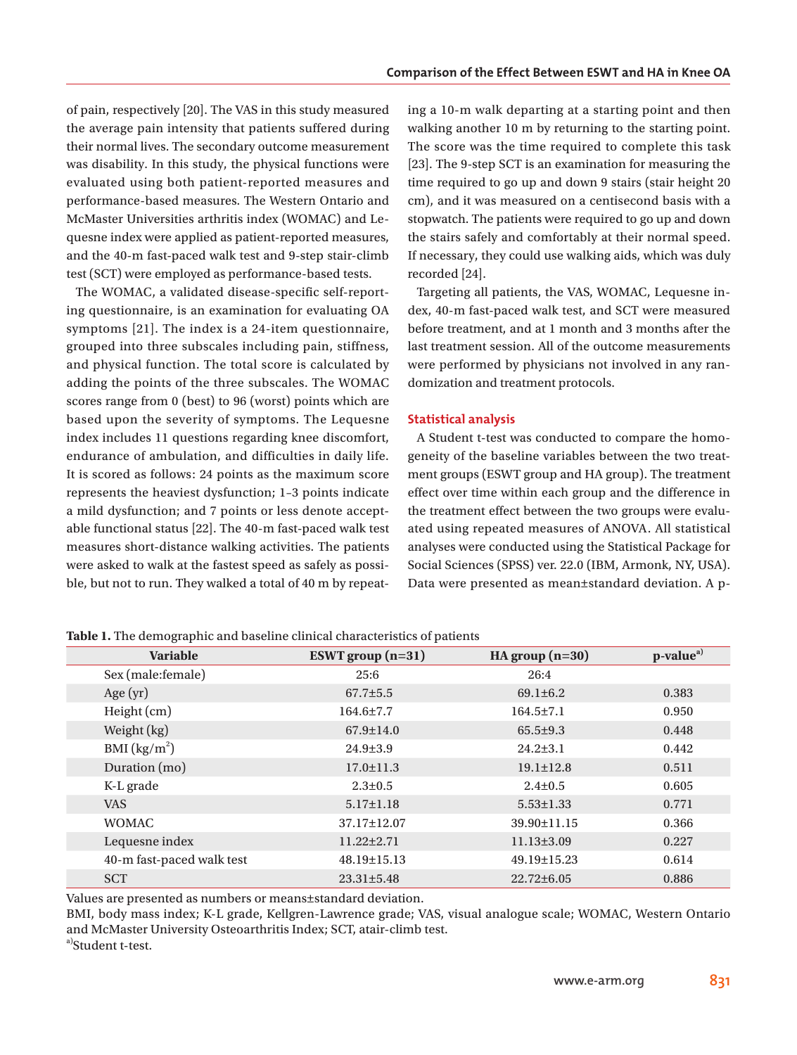of pain, respectively [20]. The VAS in this study measured the average pain intensity that patients suffered during their normal lives. The secondary outcome measurement was disability. In this study, the physical functions were evaluated using both patient-reported measures and performance-based measures. The Western Ontario and McMaster Universities arthritis index (WOMAC) and Lequesne index were applied as patient-reported measures, and the 40-m fast-paced walk test and 9-step stair-climb test (SCT) were employed as performance-based tests.

The WOMAC, a validated disease-specific self-reporting questionnaire, is an examination for evaluating OA symptoms [21]. The index is a 24-item questionnaire, grouped into three subscales including pain, stiffness, and physical function. The total score is calculated by adding the points of the three subscales. The WOMAC scores range from 0 (best) to 96 (worst) points which are based upon the severity of symptoms. The Lequesne index includes 11 questions regarding knee discomfort, endurance of ambulation, and difficulties in daily life. It is scored as follows: 24 points as the maximum score represents the heaviest dysfunction; 1–3 points indicate a mild dysfunction; and 7 points or less denote acceptable functional status [22]. The 40-m fast-paced walk test measures short-distance walking activities. The patients were asked to walk at the fastest speed as safely as possible, but not to run. They walked a total of 40 m by repeating a 10-m walk departing at a starting point and then walking another 10 m by returning to the starting point. The score was the time required to complete this task [23]. The 9-step SCT is an examination for measuring the time required to go up and down 9 stairs (stair height 20 cm), and it was measured on a centisecond basis with a stopwatch. The patients were required to go up and down the stairs safely and comfortably at their normal speed. If necessary, they could use walking aids, which was duly recorded [24].

Targeting all patients, the VAS, WOMAC, Lequesne index, 40-m fast-paced walk test, and SCT were measured before treatment, and at 1 month and 3 months after the last treatment session. All of the outcome measurements were performed by physicians not involved in any randomization and treatment protocols.

#### **Statistical analysis**

A Student t-test was conducted to compare the homogeneity of the baseline variables between the two treatment groups (ESWT group and HA group). The treatment effect over time within each group and the difference in the treatment effect between the two groups were evaluated using repeated measures of ANOVA. All statistical analyses were conducted using the Statistical Package for Social Sciences (SPSS) ver. 22.0 (IBM, Armonk, NY, USA). Data were presented as mean±standard deviation. A p-

| <b>Variable</b>           | ESWT group $(n=31)$ | HA group $(n=30)$ | p-value <sup>a)</sup> |
|---------------------------|---------------------|-------------------|-----------------------|
| Sex (male:female)         | 25:6                | 26:4              |                       |
| Age $(yr)$                | $67.7 \pm 5.5$      | $69.1 \pm 6.2$    | 0.383                 |
| Height (cm)               | 164.6±7.7           | $164.5 \pm 7.1$   | 0.950                 |
| Weight (kg)               | $67.9 \pm 14.0$     | $65.5 \pm 9.3$    | 0.448                 |
| BMI (kg/m <sup>2</sup> )  | $24.9 \pm 3.9$      | $24.2 \pm 3.1$    | 0.442                 |
| Duration (mo)             | $17.0 \pm 11.3$     | $19.1 \pm 12.8$   | 0.511                 |
| K-L grade                 | $2.3 \pm 0.5$       | $2.4 \pm 0.5$     | 0.605                 |
| <b>VAS</b>                | $5.17 \pm 1.18$     | $5.53 \pm 1.33$   | 0.771                 |
| <b>WOMAC</b>              | 37.17±12.07         | 39.90±11.15       | 0.366                 |
| Lequesne index            | $11.22 \pm 2.71$    | $11.13\pm3.09$    | 0.227                 |
| 40-m fast-paced walk test | $48.19 \pm 15.13$   | $49.19 \pm 15.23$ | 0.614                 |
| <b>SCT</b>                | $23.31 \pm 5.48$    | $22.72\pm 6.05$   | 0.886                 |

**Table 1.** The demographic and baseline clinical characteristics of patients

Values are presented as numbers or means±standard deviation.

BMI, body mass index; K-L grade, Kellgren-Lawrence grade; VAS, visual analogue scale; WOMAC, Western Ontario and McMaster University Osteoarthritis Index; SCT, atair-climb test. a)Student t-test.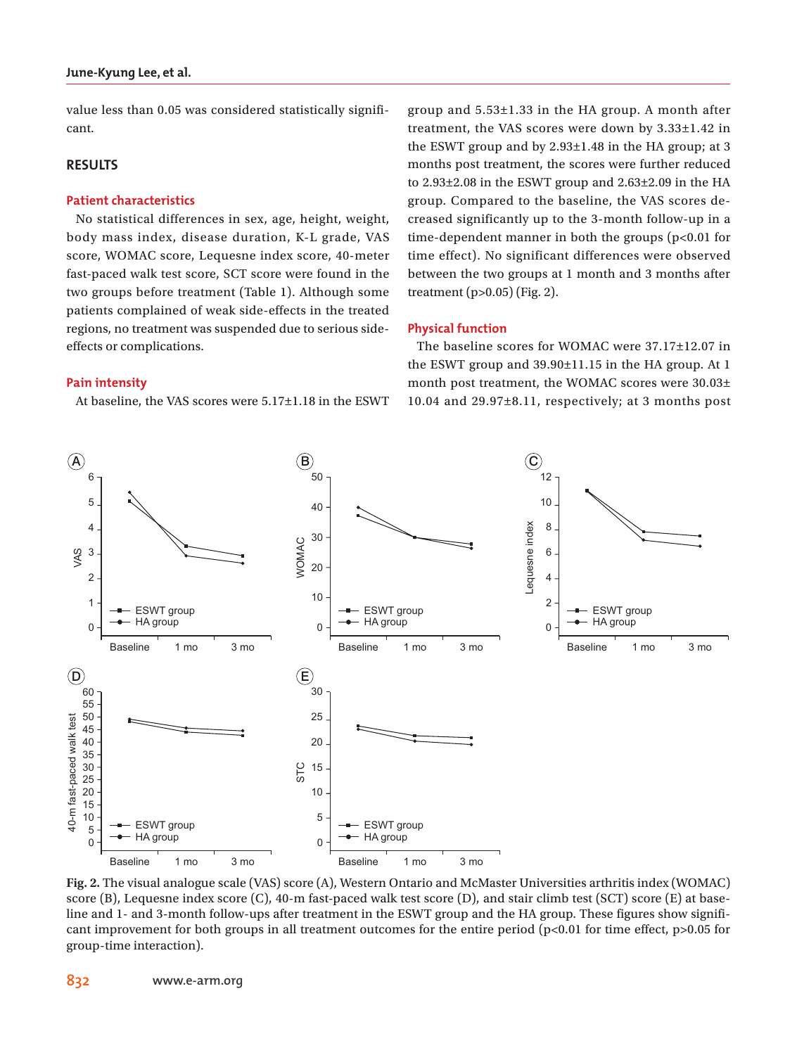value less than 0.05 was considered statistically significant.

# **RESULTS**

### **Patient characteristics**

No statistical differences in sex, age, height, weight, body mass index, disease duration, K-L grade, VAS score, WOMAC score, Lequesne index score, 40-meter fast-paced walk test score, SCT score were found in the two groups before treatment (Table 1). Although some patients complained of weak side-effects in the treated regions, no treatment was suspended due to serious sideeffects or complications.

#### **Pain intensity**

At baseline, the VAS scores were 5.17±1.18 in the ESWT

group and 5.53±1.33 in the HA group. A month after treatment, the VAS scores were down by 3.33±1.42 in the ESWT group and by 2.93±1.48 in the HA group; at 3 months post treatment, the scores were further reduced to 2.93±2.08 in the ESWT group and 2.63±2.09 in the HA group. Compared to the baseline, the VAS scores decreased significantly up to the 3-month follow-up in a time-dependent manner in both the groups (p<0.01 for time effect). No significant differences were observed between the two groups at 1 month and 3 months after treatment (p>0.05) (Fig. 2).

#### **Physical function**

The baseline scores for WOMAC were 37.17±12.07 in the ESWT group and 39.90±11.15 in the HA group. At 1 month post treatment, the WOMAC scores were 30.03± 10.04 and 29.97±8.11, respectively; at 3 months post



**Fig. 2.** The visual analogue scale (VAS) score (A), Western Ontario and McMaster Universities arthritis index (WOMAC) score (B), Lequesne index score (C), 40-m fast-paced walk test score (D), and stair climb test (SCT) score (E) at baseline and 1- and 3-month follow-ups after treatment in the ESWT group and the HA group. These figures show significant improvement for both groups in all treatment outcomes for the entire period (p<0.01 for time effect, p>0.05 for group-time interaction).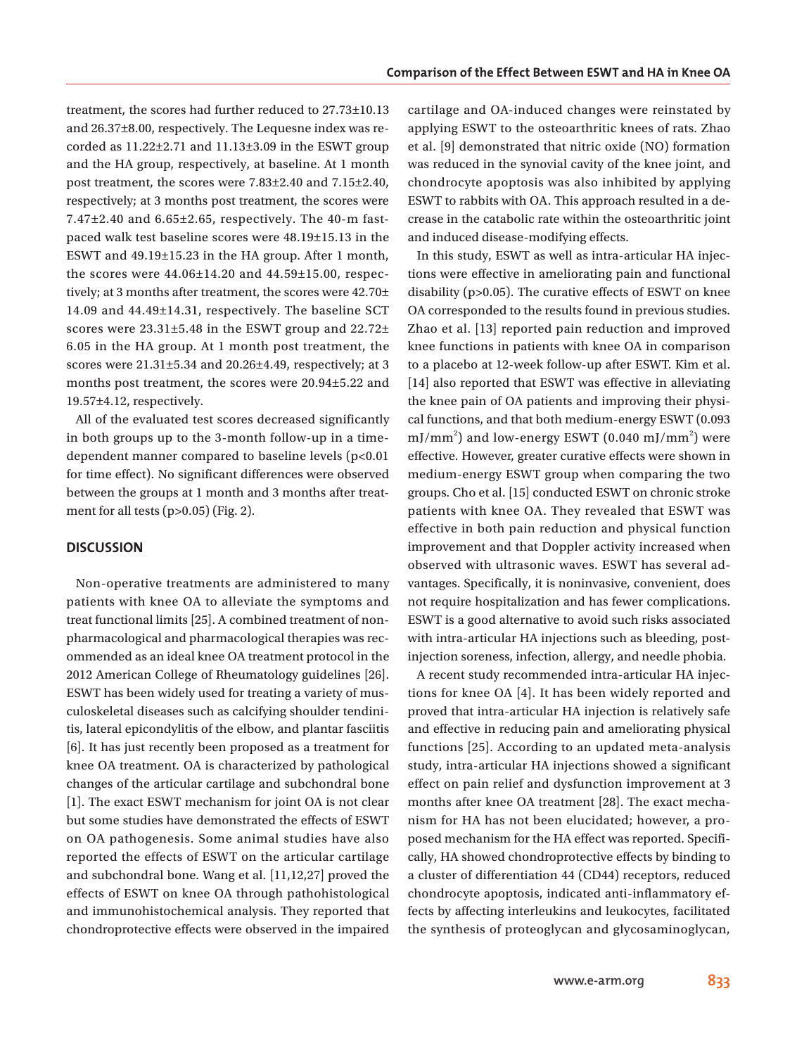treatment, the scores had further reduced to 27.73±10.13 and 26.37±8.00, respectively. The Lequesne index was recorded as  $11.22 \pm 2.71$  and  $11.13 \pm 3.09$  in the ESWT group and the HA group, respectively, at baseline. At 1 month post treatment, the scores were 7.83±2.40 and 7.15±2.40, respectively; at 3 months post treatment, the scores were 7.47±2.40 and 6.65±2.65, respectively. The 40-m fastpaced walk test baseline scores were 48.19±15.13 in the ESWT and 49.19±15.23 in the HA group. After 1 month, the scores were 44.06±14.20 and 44.59±15.00, respectively; at 3 months after treatment, the scores were 42.70± 14.09 and 44.49±14.31, respectively. The baseline SCT scores were 23.31±5.48 in the ESWT group and 22.72± 6.05 in the HA group. At 1 month post treatment, the scores were 21.31±5.34 and 20.26±4.49, respectively; at 3 months post treatment, the scores were 20.94±5.22 and 19.57±4.12, respectively.

All of the evaluated test scores decreased significantly in both groups up to the 3-month follow-up in a timedependent manner compared to baseline levels (p<0.01 for time effect). No significant differences were observed between the groups at 1 month and 3 months after treatment for all tests  $(p>0.05)$  (Fig. 2).

### **DISCUSSION**

Non-operative treatments are administered to many patients with knee OA to alleviate the symptoms and treat functional limits [25]. A combined treatment of nonpharmacological and pharmacological therapies was recommended as an ideal knee OA treatment protocol in the 2012 American College of Rheumatology guidelines [26]. ESWT has been widely used for treating a variety of musculoskeletal diseases such as calcifying shoulder tendinitis, lateral epicondylitis of the elbow, and plantar fasciitis [6]. It has just recently been proposed as a treatment for knee OA treatment. OA is characterized by pathological changes of the articular cartilage and subchondral bone [1]. The exact ESWT mechanism for joint OA is not clear but some studies have demonstrated the effects of ESWT on OA pathogenesis. Some animal studies have also reported the effects of ESWT on the articular cartilage and subchondral bone. Wang et al. [11,12,27] proved the effects of ESWT on knee OA through pathohistological and immunohistochemical analysis. They reported that chondroprotective effects were observed in the impaired cartilage and OA-induced changes were reinstated by applying ESWT to the osteoarthritic knees of rats. Zhao et al. [9] demonstrated that nitric oxide (NO) formation was reduced in the synovial cavity of the knee joint, and chondrocyte apoptosis was also inhibited by applying ESWT to rabbits with OA. This approach resulted in a decrease in the catabolic rate within the osteoarthritic joint and induced disease-modifying effects.

In this study, ESWT as well as intra-articular HA injections were effective in ameliorating pain and functional disability (p>0.05). The curative effects of ESWT on knee OA corresponded to the results found in previous studies. Zhao et al. [13] reported pain reduction and improved knee functions in patients with knee OA in comparison to a placebo at 12-week follow-up after ESWT. Kim et al. [14] also reported that ESWT was effective in alleviating the knee pain of OA patients and improving their physical functions, and that both medium-energy ESWT (0.093 mJ/mm<sup>2</sup>) and low-energy ESWT (0.040 mJ/mm<sup>2</sup>) were effective. However, greater curative effects were shown in medium-energy ESWT group when comparing the two groups. Cho et al. [15] conducted ESWT on chronic stroke patients with knee OA. They revealed that ESWT was effective in both pain reduction and physical function improvement and that Doppler activity increased when observed with ultrasonic waves. ESWT has several advantages. Specifically, it is noninvasive, convenient, does not require hospitalization and has fewer complications. ESWT is a good alternative to avoid such risks associated with intra-articular HA injections such as bleeding, postinjection soreness, infection, allergy, and needle phobia.

A recent study recommended intra-articular HA injections for knee OA [4]. It has been widely reported and proved that intra-articular HA injection is relatively safe and effective in reducing pain and ameliorating physical functions [25]. According to an updated meta-analysis study, intra-articular HA injections showed a significant effect on pain relief and dysfunction improvement at 3 months after knee OA treatment [28]. The exact mechanism for HA has not been elucidated; however, a proposed mechanism for the HA effect was reported. Specifically, HA showed chondroprotective effects by binding to a cluster of differentiation 44 (CD44) receptors, reduced chondrocyte apoptosis, indicated anti-inflammatory effects by affecting interleukins and leukocytes, facilitated the synthesis of proteoglycan and glycosaminoglycan,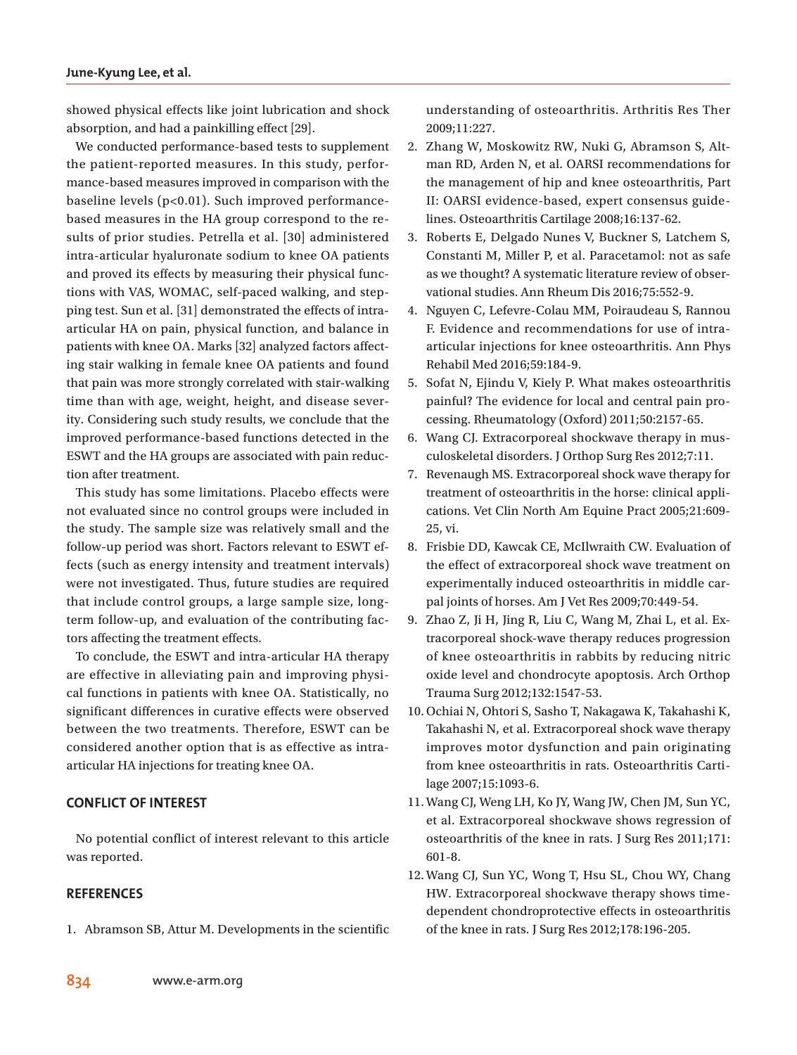showed physical effects like joint lubrication and shock absorption, and had a painkilling effect [29].

We conducted performance-based tests to supplement the patient-reported measures. In this study, performance-based measures improved in comparison with the baseline levels (p<0.01). Such improved performancebased measures in the HA group correspond to the results of prior studies. Petrella et al. [30] administered intra-articular hyaluronate sodium to knee OA patients and proved its effects by measuring their physical functions with VAS, WOMAC, self-paced walking, and stepping test. Sun et al. [31] demonstrated the effects of intraarticular HA on pain, physical function, and balance in patients with knee OA. Marks [32] analyzed factors affecting stair walking in female knee OA patients and found that pain was more strongly correlated with stair-walking time than with age, weight, height, and disease severity. Considering such study results, we conclude that the improved performance-based functions detected in the ESWT and the HA groups are associated with pain reduction after treatment.

This study has some limitations. Placebo effects were not evaluated since no control groups were included in the study. The sample size was relatively small and the follow-up period was short. Factors relevant to ESWT effects (such as energy intensity and treatment intervals) were not investigated. Thus, future studies are required that include control groups, a large sample size, longterm follow-up, and evaluation of the contributing factors affecting the treatment effects.

To conclude, the ESWT and intra-articular HA therapy are effective in alleviating pain and improving physical functions in patients with knee OA. Statistically, no significant differences in curative effects were observed between the two treatments. Therefore, ESWT can be considered another option that is as effective as intraarticular HA injections for treating knee OA.

# **CONFLICT OF INTEREST**

No potential conflict of interest relevant to this article was reported.

# **REFERENCES**

1. Abramson SB, Attur M. Developments in the scientific

understanding of osteoarthritis. Arthritis Res Ther 2009;11:227.

- 2. Zhang W, Moskowitz RW, Nuki G, Abramson S, Altman RD, Arden N, et al. OARSI recommendations for the management of hip and knee osteoarthritis, Part II: OARSI evidence-based, expert consensus guidelines. Osteoarthritis Cartilage 2008;16:137-62.
- 3. Roberts E, Delgado Nunes V, Buckner S, Latchem S, Constanti M, Miller P, et al. Paracetamol: not as safe as we thought? A systematic literature review of observational studies. Ann Rheum Dis 2016;75:552-9.
- 4. Nguyen C, Lefevre-Colau MM, Poiraudeau S, Rannou F. Evidence and recommendations for use of intraarticular injections for knee osteoarthritis. Ann Phys Rehabil Med 2016;59:184-9.
- 5. Sofat N, Ejindu V, Kiely P. What makes osteoarthritis painful? The evidence for local and central pain processing. Rheumatology (Oxford) 2011;50:2157-65.
- 6. Wang CJ. Extracorporeal shockwave therapy in musculoskeletal disorders. J Orthop Surg Res 2012;7:11.
- 7. Revenaugh MS. Extracorporeal shock wave therapy for treatment of osteoarthritis in the horse: clinical applications. Vet Clin North Am Equine Pract 2005;21:609- 25, vi.
- 8. Frisbie DD, Kawcak CE, McIlwraith CW. Evaluation of the effect of extracorporeal shock wave treatment on experimentally induced osteoarthritis in middle carpal joints of horses. Am J Vet Res 2009;70:449-54.
- 9. Zhao Z, Ji H, Jing R, Liu C, Wang M, Zhai L, et al. Extracorporeal shock-wave therapy reduces progression of knee osteoarthritis in rabbits by reducing nitric oxide level and chondrocyte apoptosis. Arch Orthop Trauma Surg 2012;132:1547-53.
- 10.Ochiai N, Ohtori S, Sasho T, Nakagawa K, Takahashi K, Takahashi N, et al. Extracorporeal shock wave therapy improves motor dysfunction and pain originating from knee osteoarthritis in rats. Osteoarthritis Cartilage 2007;15:1093-6.
- 11.Wang CJ, Weng LH, Ko JY, Wang JW, Chen JM, Sun YC, et al. Extracorporeal shockwave shows regression of osteoarthritis of the knee in rats. J Surg Res 2011;171: 601-8.
- 12.Wang CJ, Sun YC, Wong T, Hsu SL, Chou WY, Chang HW. Extracorporeal shockwave therapy shows timedependent chondroprotective effects in osteoarthritis of the knee in rats. J Surg Res 2012;178:196-205.